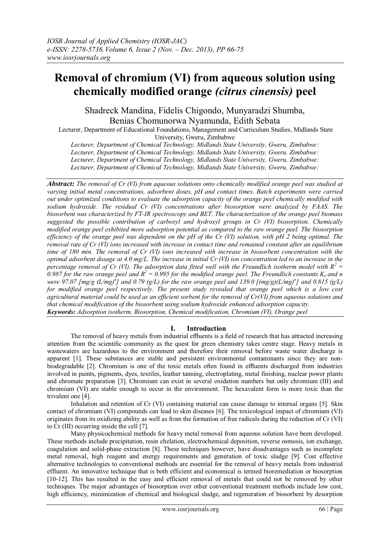# **Removal of chromium (VI) from aqueous solution using chemically modified orange** *(citrus cinensis)* **peel**

Shadreck Mandina, Fidelis Chigondo, Munyaradzi Shumba, Benias Chomunorwa Nyamunda, Edith Sebata

Lecturer, Department of Educational Foundations, Management and Curriculum Studies, Midlands State University, Gweru, Zimbabwe

*Lecturer, Department of Chemical Technology, Midlands State University, Gweru, Zimbabwe: Lecturer, Department of Chemical Technology, Midlands State University, Gweru, Zimbabwe: Lecturer, Department of Chemical Technology, Midlands State University, Gweru, Zimbabwe: Lecturer, Department of Chemical Technology, Midlands State University, Gweru, Zimbabwe:* 

*Abstract: The removal of Cr (VI) from aqueous solutions onto chemically modified orange peel was studied at varying initial metal concentrations, adsorbent doses, pH and contact times. Batch experiments were carried out under optimized conditions to evaluate the adsorption capacity of the orange peel chemically modified with sodium hydroxide. The residual Cr (VI) concentrations after biosorption were analyzed by FAAS. The biosorbent was characterized by FT-IR spectroscopy and BET. The characterization of the orange peel biomass suggested the possible contribution of carboxyl and hydroxyl groups in Cr (VI) biosorption. Chemically modified orange peel exhibited more adsorption potential as compared to the raw orange peel. The biosorption efficiency of the orange peel was dependent on the pH of the Cr (VI) solution, with pH 2 being optimal. The removal rate of Cr (VI) ions increased with increase in contact time and remained constant after an equilibrium time of 180 min. The removal of Cr (VI) ions increased with increase in biosorbent concentration with the optimal adsorbent dosage at 4.0 mg/L. The increase in initial Cr (VI) ion concentration led to an increase in the percentage removal of Cr (VI). The adsorption data fitted well with the Freundlich isotherm model with R<sup>2</sup> =* 0.987 for the raw orange peel and  $R^2 = 0.995$  for the modified orange peel. The Freundlich constants  $K_f$  and n *were* 97.07  $[mg/g (L/mg)^n]$  and 0.79  $(g/L)$  for the raw orange peel and 139.0  $[(mg/g)(L/mg)^n]$  and 0.815  $(g/L)$ *for modified orange peel respectively. The present study revealed that orange peel which is a low cost agricultural material could be used as an efficient sorbent for the removal of Cr(VI) from aqueous solutions and that chemical modification of the biosorbent using sodium hydroxide enhanced adsorption capacity. Keywords: Adsorption isotherm, Biosorption, Chemical modification, Chromium (VI), Orange peel*

## **I. Introduction**

The removal of heavy metals from industrial effluents is a field of research that has attracted increasing attention from the scientific community as the quest for green chemistry takes centre stage. Heavy metals in wastewaters are hazardous to the environment and therefore their removal before waste water discharge is apparent [1]. These substances are stable and persistent environmental contaminants since they are nonbiodegradable [2]. Chromium is one of the toxic metals often found in effluents discharged from industries involved in paints, pigments, dyes, textiles, leather tanning, electroplating, metal finishing, nuclear power plants and chromate preparation [3]. Chromium can exist in several oxidation numbers but only chromium (III) and chromium (VI) are stable enough to occur in the environment. The hexavalent form is more toxic than the trivalent one [4].

Inhalation and retention of Cr (VI) containing material can cause damage to internal organs [5]. Skin contact of chromium (VI) compounds can lead to skin diseases [6]. The toxicological impact of chromium (VI) originates from its oxidizing ability as well as from the formation of free radicals during the reduction of Cr (VI) to Cr (III) occurring inside the cell [7].

Many physicochemical methods for heavy metal removal from aqueous solution have been developed. These methods include precipitation, resin chelation, electrochemical deposition, reverse osmosis, ion exchange, coagulation and solid-phase extraction [8]. These techniques however, have disadvantages such as incomplete metal removal, high reagent and energy requirements and generation of toxic sludge [9]. Cost effective alternative technologies to conventional methods are essential for the removal of heavy metals from industrial effluent. An innovative technique that is both efficient and economical is termed bioremediation or biosorption [10-12]. This has resulted in the easy and efficient removal of metals that could not be removed by other techniques. The major advantages of biosorption over other conventional treatment methods include low cost, high efficiency, minimization of chemical and biological sludge, and regeneration of biosorbent by desorption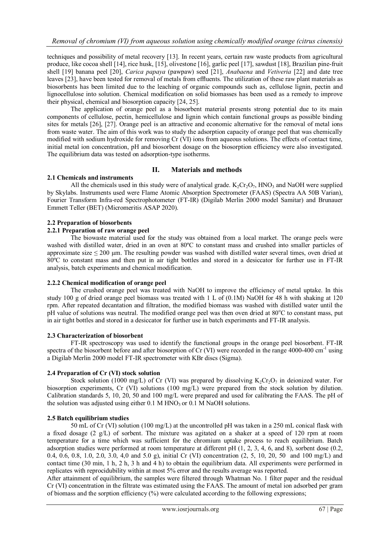techniques and possibility of metal recovery [13]. In recent years, certain raw waste products from agricultural produce, like cocoa shell [14], rice husk, [15], olivestone [16], garlic peel [17], sawdust [18], Brazilian pine-fruit shell [19] banana peel [20], *Carica papaya* (pawpaw) seed [21], *Anabaena* and *Vetiveria* [22] and date tree leaves [23], have been tested for removal of metals from effluents. The utilization of these raw plant materials as biosorbents has been limited due to the leaching of organic compounds such as, cellulose lignin, pectin and lignocellulose into solution. Chemical modification on solid biomasses has been used as a remedy to improve their physical, chemical and biosorption capacity [24, 25].

The application of orange peel as a biosorbent material presents strong potential due to its main components of cellulose, pectin, hemicellulose and lignin which contain functional groups as possible binding sites for metals [26], [27]. Orange peel is an attractive and economic alternative for the removal of metal ions from waste water. The aim of this work was to study the adsorption capacity of orange peel that was chemically modified with sodium hydroxide for removing Cr (VI) ions from aqueous solutions. The effects of contact time, initial metal ion concentration, pH and biosorbent dosage on the biosorption efficiency were also investigated. The equilibrium data was tested on adsorption-type isotherms.

## **II. Materials and methods**

## **2.1 Chemicals and instruments**

All the chemicals used in this study were of analytical grade.  $K_2Cr_2O_7$ , HNO<sub>3</sub> and NaOH were supplied by Skylabs. Instruments used were Flame Atomic Absorption Spectrometer (FAAS) (Spectra AA 50B Varian), Fourier Transform Infra-red Spectrophotometer (FT-IR) (Digilab Merlin 2000 model Samitar) and Brunauer Emmett Teller (BET) (Micromeritis ASAP 2020).

## **2.2 Preparation of biosorbents**

#### **2.2.1 Preparation of raw orange peel**

The biowaste material used for the study was obtained from a local market. The orange peels were washed with distilled water, dried in an oven at 80ºC to constant mass and crushed into smaller particles of approximate size  $\leq 200$  µm. The resulting powder was washed with distilled water several times, oven dried at 80ºC to constant mass and then put in air tight bottles and stored in a desiccator for further use in FT-IR analysis, batch experiments and chemical modification.

#### **2.2.2 Chemical modification of orange peel**

The crushed orange peel was treated with NaOH to improve the efficiency of metal uptake. In this study 100 g of dried orange peel biomass was treated with 1 L of (0.1M) NaOH for 48 h with shaking at 120 rpm. After repeated decantation and filtration, the modified biomass was washed with distilled water until the pH value of solutions was neutral. The modified orange peel was then oven dried at 80<sup>o</sup>C to constant mass, put in air tight bottles and stored in a desiccator for further use in batch experiments and FT-IR analysis.

#### **2.3 Characterization of biosorbent**

FT-IR spectroscopy was used to identify the functional groups in the orange peel biosorbent. FT-IR spectra of the biosorbent before and after biosorption of Cr (VI) were recorded in the range 4000-400 cm<sup>-1</sup> using a Digilab Merlin 2000 model FT-IR spectrometer with KBr discs (Sigma).

## **2.4 Preparation of Cr (VI) stock solution**

Stock solution (1000 mg/L) of Cr (VI) was prepared by dissolving  $K_2Cr_2O_7$  in deionized water. For biosorption experiments, Cr (VI) solutions (100 mg/L) were prepared from the stock solution by dilution. Calibration standards 5, 10, 20, 50 and 100 mg/L were prepared and used for calibrating the FAAS. The pH of the solution was adjusted using either 0.1 M HNO<sub>3</sub> or 0.1 M NaOH solutions.

## **2.5 Batch equilibrium studies**

50 mL of Cr (VI) solution (100 mg/L) at the uncontrolled pH was taken in a 250 mL conical flask with a fixed dosage (2 g/L) of sorbent. The mixture was agitated on a shaker at a speed of 120 rpm at room temperature for a time which was sufficient for the chromium uptake process to reach equilibrium. Batch adsorption studies were performed at room temperature at different pH (1, 2, 3, 4, 6, and 8), sorbent dose (0.2, 0.4, 0.6, 0.8, 1.0, 2.0, 3.0, 4,0 and 5.0 g), initial Cr (VI) concentration (2, 5, 10, 20, 50 and 100 mg/L) and contact time (30 min, 1 h, 2 h, 3 h and 4 h) to obtain the equilibrium data. All experiments were performed in replicates with reprocidubility within at most 5% error and the results average was reported.

After attainment of equilibrium, the samples were filtered through Whatman No. 1 filter paper and the residual Cr (VI) concentration in the filtrate was estimated using the FAAS. The amount of metal ion adsorbed per gram of biomass and the sorption efficiency  $(\%)$  were calculated according to the following expressions;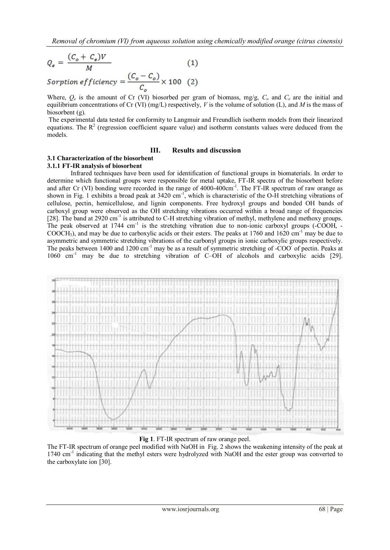$$
Q_{\rm e} = \frac{(C_{\rm o} + C_{\rm e})V}{M} \tag{1}
$$

$$
Sorption\,efficiency = \frac{(C_o - C_o)}{C_o} \times 100\quad(2)
$$

Where,  $Q_e$  is the amount of Cr (VI) biosorbed per gram of biomass, mg/g,  $C_o$  and  $C_e$  are the initial and equilibrium concentrations of Cr (VI) (mg/L) respectively, *V* is the volume of solution (L), and *M* is the mass of biosorbent (g).

The experimental data tested for conformity to Langmuir and Freundlich isotherm models from their linearized equations. The  $R<sup>2</sup>$  (regression coefficient square value) and isotherm constants values were deduced from the models.

#### **III. Results and discussion**

## **3.1 Characterization of the biosorbent**

### **3.1.1 FT-IR analysis of biosorbent**

Infrared techniques have been used for identification of functional groups in biomaterials. In order to determine which functional groups were responsible for metal uptake, FT-IR spectra of the biosorbent before and after Cr (VI) bonding were recorded in the range of 4000-400cm<sup>-1</sup>. The FT-IR spectrum of raw orange as shown in Fig. 1 exhibits a broad peak at  $3420 \text{ cm}^{-1}$ , which is characteristic of the O-H stretching vibrations of cellulose, pectin, hemicellulose, and lignin components. Free hydroxyl groups and bonded OH bands of carboxyl group were observed as the OH stretching vibrations occurred within a broad range of frequencies [28]. The band at 2920 cm<sup>-1</sup> is attributed to C-H stretching vibration of methyl, methylene and methoxy groups. The peak observed at 1744 cm<sup>-1</sup> is the stretching vibration due to non-ionic carboxyl groups (-COOH, - $COOCH<sub>3</sub>$ , and may be due to carboxylic acids or their esters. The peaks at 1760 and 1620 cm<sup>-1</sup> may be due to asymmetric and symmetric stretching vibrations of the carbonyl groups in ionic carboxylic groups respectively. The peaks between 1400 and 1200 cm<sup>-1</sup> may be as a result of symmetric stretching of -COO<sup>-</sup> of pectin. Peaks at  $1060 \text{ cm}^{-1}$  may be due to stretching vibration of C–OH of alcohols and carboxylic acids [29].



#### **Fig 1**. FT-IR spectrum of raw orange peel.

The FT-IR spectrum of orange peel modified with NaOH in Fig. 2 shows the weakening intensity of the peak at 1740 cm<sup>-1</sup> indicating that the methyl esters were hydrolyzed with NaOH and the ester group was converted to the carboxylate ion [30].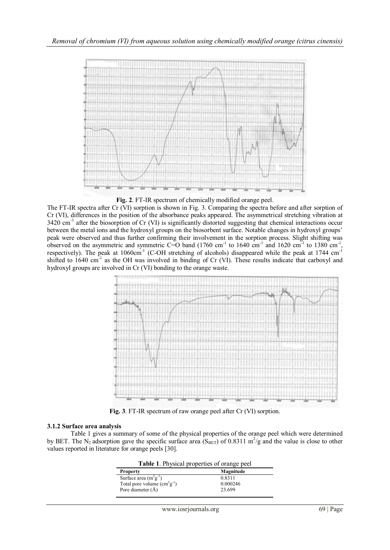

**Fig. 2**. FT-IR spectrum of chemically modified orange peel.

The FT-IR spectra after Cr (VI) sorption is shown in Fig. 3. Comparing the spectra before and after sorption of Cr (VI), differences in the position of the absorbance peaks appeared. The asymmetrical stretching vibration at 3420 cm<sup>-1</sup> after the biosorption of Cr (VI) is significantly distorted suggesting that chemical interactions occur between the metal ions and the hydroxyl groups on the biosorbent surface. Notable changes in hydroxyl groups' peak were observed and thus further confirming their involvement in the sorption process. Slight shifting was observed on the asymmetric and symmetric C=O band  $(1760 \text{ cm}^{-1} \text{ to } 1640 \text{ cm}^{-1} \text{ and } 1620 \text{ cm}^{-1} \text{ to } 1380 \text{ cm}^{-1},$ respectively). The peak at  $1060 \text{cm}^{-1}$  (C-OH stretching of alcohols) disappeared while the peak at 1744 cm<sup>-1</sup> shifted to 1640 cm<sup>-1</sup> as the OH was involved in binding of Cr (VI). These results indicate that carboxyl and hydroxyl groups are involved in Cr (VI) bonding to the orange waste.



**Fig. 3**. FT-IR spectrum of raw orange peel after Cr (VI) sorption.

## **3.1.2 Surface area analysis**

Table 1 gives a summary of some of the physical properties of the orange peel which were determined by BET. The N<sub>2</sub> adsorption gave the specific surface area (S<sub>BET</sub>) of 0.8311 m<sup>2</sup>/g and the value is close to other values reported in literature for orange peels [30].

| Table 1. Physical properties of orange peel |           |  |  |
|---------------------------------------------|-----------|--|--|
| <b>Property</b>                             | Magnitude |  |  |
| Surface area $(m^2g^{-1})$                  | 0.8311    |  |  |
| Total pore volume $(cm3g-1)$                | 0.000246  |  |  |
| Pore diameter (Å)                           | 23.699    |  |  |
|                                             |           |  |  |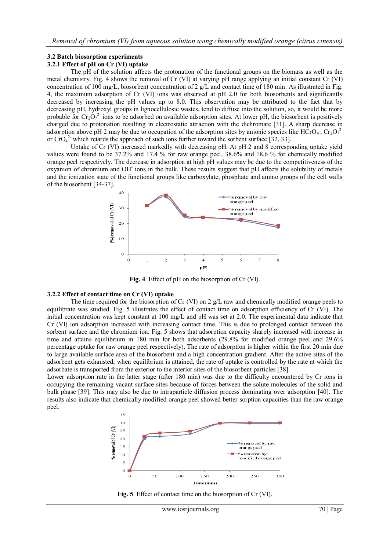# **3.2 Batch biosorption experiments**

### **3.2.1 Effect of pH on Cr (VI) uptake**

The pH of the solution affects the protonation of the functional groups on the biomass as well as the metal chemistry. Fig. 4 shows the removal of Cr (VI) at varying pH range applying an initial constant Cr (VI) concentration of 100 mg/L, biosorbent concentration of 2 g/L and contact time of 180 min. As illustrated in Fig. 4, the maximum adsorption of Cr (VI) ions was observed at pH 2.0 for both biosorbents and significantly decreased by increasing the pH values up to 8.0. This observation may be attributed to the fact that by decreasing pH, hydroxyl groups in lignocellulosic wastes, tend to diffuse into the solution, so, it would be more probable for  $Cr_2O_7^2$  ions to be adsorbed on available adsorption sites. At lower pH, the biosorbent is positively charged due to protonation resulting in electrostatic attraction with the dichromate [31]. A sharp decrease in adsorption above pH 2 may be due to occupation of the adsorption sites by anionic species like HCrO<sub>4</sub>, Cr<sub>2</sub>O<sub>7</sub><sup>2</sup> or  $\text{CrO}_4^2$  which retards the approach of such ions further toward the sorbent surface [32, 33].

Uptake of Cr (VI) increased markedly with decreasing pH. At pH 2 and 8 corresponding uptake yield values were found to be 37.2% and 17.4 % for raw orange peel, 38.6% and 18.6 % for chemically modified orange peel respectively. The decrease in adsorption at high pH values may be due to the competitiveness of the oxyanion of chromium and OH-ions in the bulk. These results suggest that pH affects the solubility of metals and the ionization state of the functional groups like carboxylate, phosphate and amino groups of the cell walls of the biosorbent [34-37].



**Fig. 4**. Effect of pH on the biosorption of Cr (VI).

## **3.2.2 Effect of contact time on Cr (VI) uptake**

The time required for the biosorption of Cr (VI) on 2 g/L raw and chemically modified orange peels to equilibrate was studied. Fig. 5 illustrates the effect of contact time on adsorption efficiency of Cr (VI). The initial concentration was kept constant at 100 mg/L and pH was set at 2.0. The experimental data indicate that Cr (VI) ion adsorption increased with increasing contact time. This is due to prolonged contact between the sorbent surface and the chromium ion. Fig. 5 shows that adsorption capacity sharply increased with increase in time and attains equilibrium in 180 min for both adsorbents (29.8% for modified orange peel and 29.6% percentage uptake for raw orange peel respectively). The rate of adsorption is higher within the first 20 min due to large available surface area of the biosorbent and a high concentration gradient. After the active sites of the adsorbent gets exhausted, when equilibrium is attained, the rate of uptake is controlled by the rate at which the adsorbate is transported from the exterior to the interior sites of the biosorbent particles [38].

Lower adsorption rate in the latter stage (after 180 min) was due to the difficulty encountered by Cr ions in occupying the remaining vacant surface sites because of forces between the solute molecules of the solid and bulk phase [39]. This may also be due to intraparticle diffusion process dominating over adsorption [40]. The results also indicate that chemically modified orange peel showed better sorption capacities than the raw orange peel.



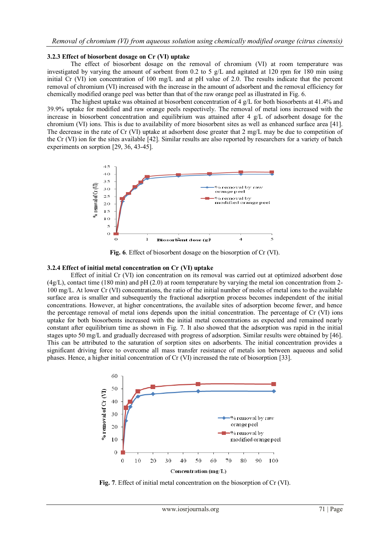#### **3.2.3 Effect of biosorbent dosage on Cr (VI) uptake**

The effect of biosorbent dosage on the removal of chromium (VI) at room temperature was investigated by varying the amount of sorbent from  $0.2$  to 5 g/L and agitated at 120 rpm for 180 min using initial Cr (VI) ion concentration of 100 mg/L and at pH value of 2.0. The results indicate that the percent removal of chromium (VI) increased with the increase in the amount of adsorbent and the removal efficiency for chemically modified orange peel was better than that of the raw orange peel as illustrated in Fig. 6.

The highest uptake was obtained at biosorbent concentration of 4 g/L for both biosorbents at 41.4% and 39.9% uptake for modified and raw orange peels respectively. The removal of metal ions increased with the increase in biosorbent concentration and equilibrium was attained after 4 g/L of adsorbent dosage for the chromium (VI) ions. This is due to availability of more biosorbent sites as well as enhanced surface area [41]. The decrease in the rate of Cr (VI) uptake at adsorbent dose greater that 2 mg/L may be due to competition of the Cr (VI) ion for the sites available [42]. Similar results are also reported by researchers for a variety of batch experiments on sorption [29, 36, 43-45].



**Fig. 6**. Effect of biosorbent dosage on the biosorption of Cr (VI).

#### **3.2.4 Effect of initial metal concentration on Cr (VI) uptake**

Effect of initial Cr (VI) ion concentration on its removal was carried out at optimized adsorbent dose  $(4g/L)$ , contact time (180 min) and pH (2.0) at room temperature by varying the metal ion concentration from 2-100 mg/L. At lower Cr (VI) concentrations, the ratio of the initial number of moles of metal ions to the available surface area is smaller and subsequently the fractional adsorption process becomes independent of the initial concentrations. However, at higher concentrations, the available sites of adsorption become fewer, and hence the percentage removal of metal ions depends upon the initial concentration. The percentage of Cr (VI) ions uptake for both biosorbents increased with the initial metal concentrations as expected and remained nearly constant after equilibrium time as shown in Fig. 7. It also showed that the adsorption was rapid in the initial stages upto 50 mg/L and gradually decreased with progress of adsorption. Similar results were obtained by [46]. This can be attributed to the saturation of sorption sites on adsorbents. The initial concentration provides a significant driving force to overcome all mass transfer resistance of metals ion between aqueous and solid phases. Hence, a higher initial concentration of Cr (VI) increased the rate of biosorption [33].



**Fig. 7**. Effect of initial metal concentration on the biosorption of Cr (VI).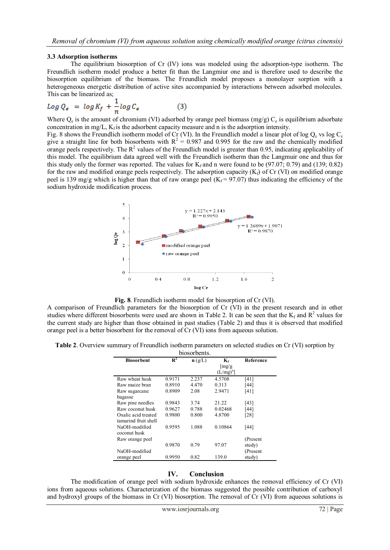#### **3.3 Adsorption isotherms**

The equilibrium biosorption of Cr (IV) ions was modeled using the adsorption-type isotherm. The Freundlich isotherm model produce a better fit than the Langmiur one and is therefore used to describe the biosorption equilibrium of the biomass. The Freundlich model proposes a monolayer sorption with a heterogeneous energetic distribution of active sites accompanied by interactions between adsorbed molecules. This can be linearized as;

$$
Log Q_{\epsilon} = log K_f + \frac{1}{n} log C_{\epsilon}
$$
 (3)

Where  $Q_e$  is the amount of chromium (VI) adsorbed by orange peel biomass (mg/g)  $C_e$  is equilibrium adsorbate concentration in mg/L,  $K_f$  is the adsorbent capacity measure and n is the adsorption intensity.

Fig. 8 shows the Freundlich isotherm model of Cr (VI). In the Freundlich model a linear plot of log  $Q_e$  vs log  $C_e$ give a straight line for both biosorbents with  $R^2 = 0.987$  and 0.995 for the raw and the chemically modified orange peels respectively. The  $R^2$  values of the Freundlich model is greater than 0.95, indicating applicability of this model. The equilibrium data agreed well with the Freundlich isotherm than the Langmuir one and thus for this study only the former was reported. The values for  $K_f$  and n were found to be (97.07; 0.79) and (139; 0.82) for the raw and modified orange peels respectively. The adsorption capacity  $(K_f)$  of Cr (VI) on modified orange peel is 139 mg/g which is higher than that of raw orange peel ( $K_f = 97.07$ ) thus indicating the efficiency of the sodium hydroxide modification process.



**Fig. 8**. Freundlich isotherm model for biosorption of Cr (VI).

A comparison of Freundlich parameters for the biosorption of Cr (VI) in the present research and in other studies where different biosorbents were used are shown in Table 2. It can be seen that the  $K_f$  and  $R^2$  values for the current study are higher than those obtained in past studies (Table 2) and thus it is observed that modified orange peel is a better biosorbent for the removal of Cr (VI) ions from aqueous solution.

**Table 2**. Overview summary of Freundlich isotherm parameters on selected studies on Cr (VI) sorption by

| biosorbents.         |        |                    |                             |           |  |
|----------------------|--------|--------------------|-----------------------------|-----------|--|
| <b>Biosorbent</b>    | $R^2$  | $\mathbf{n}$ (g/L) | $K_f$                       | Reference |  |
|                      |        |                    | $\left[\frac{mg}{g}\right]$ |           |  |
|                      |        |                    | $(L/mg)^n$                  |           |  |
| Raw wheat husk       | 0.9171 | 2.237              | 4.5708                      | [41]      |  |
| Raw maize bran       | 0.8910 | 4.470              | 0.313                       | [44]      |  |
| Raw sugarcane        | 0.8909 | 2.08               | 2.9471                      | [41]      |  |
| bagasse              |        |                    |                             |           |  |
| Raw pine needles     | 0.9843 | 3.74               | 21.22                       | [43]      |  |
| Raw coconut husk     | 0.9627 | 0.788              | 0.02468                     | [44]      |  |
| Oxalic acid treated  | 0.9800 | 0.800              | 4.8700                      | [28]      |  |
| tamarind fruit shell |        |                    |                             |           |  |
| NaOH-modified        | 0.9595 | 1.088              | 0.10864                     | [44]      |  |
| coconut husk         |        |                    |                             |           |  |
| Raw orange peel      |        |                    |                             | (Present  |  |
|                      | 0.9870 | 0.79               | 97.07                       | study)    |  |
| NaOH-modified        |        |                    |                             | (Present) |  |
| orange peel          | 0.9950 | 0.82               | 139.0                       | study)    |  |

## **IV. Conclusion**

The modification of orange peel with sodium hydroxide enhances the removal efficiency of Cr (VI) ions from aqueous solutions. Characterization of the biomass suggested the possible contribution of carboxyl and hydroxyl groups of the biomass in Cr (VI) biosorption. The removal of Cr (VI) from aqueous solutions is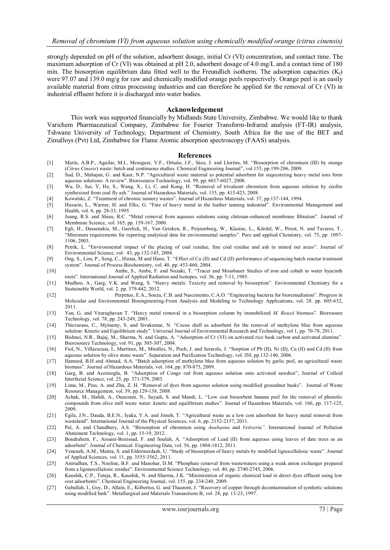strongly depended on pH of the solution, adsorbent dosage, initial Cr (VI) concentration, and contact time. The maximum adsorption of Cr (VI) was obtained at pH 2.0, adsorbent dosage of 4.0 mg/L and a contact time of 180 min. The biosorption equilibrium data fitted well to the Freundlich isotherm. The adsorption capacities  $(K_f)$ were 97.07 and 139.0 mg/g for raw and chemically modified orange peels respectively. Orange peel is an easily available material from citrus processing industries and can therefore be applied for the removal of Cr (VI) in industrial effluent before it is discharged into water bodies.

#### **Acknowledgement**

This work was supported financially by Midlands State University, Zimbabwe. We would like to thank Varichem Pharmaceutical Company, Zimbabwe for Fourier Transform-Infrared analysis (FT-IR) analysis, Tshwane University of Technology, Department of Chemistry, South Africa for the use of the BET and Zimalloys (Pvt) Ltd, Zimbabwe for Flame Atomic absorption spectroscopy (FAAS) analysis.

#### **References**

- [1] Marín, A.B.P., Aguilar, M.I., Meseguer, V.F., Ortuńo, J.F., Sáez, J. and Lloréns, M. "Biosorption of chromium (III) by orange (*Citrus Cinesis*) waste: batch and continuous studies. Chemical Engineering Journal", vol 155, pp.199-206, 2009.
- [2] Sud, D., Mahajan, G. and Kaur, N.P. "Agricultural waste material as potential adsorbent for sequestering heavy metal ions form aqueous solutions: A review". Bioresource Technology, vol. 99, pp. 6017-6027, 2008.
- [3] Wu, D., Sui, Y, He, S., Wang, X., Li, C. and Kong, H. "Removal of trivalaent chromium from aqueous solution by zeolite synthesized from coal fly ash." Journal of Hazardous Materials, vol. 155, pp. 415-423, 2008.
- [4] Kowalski, Z. "Treatment of chromic tannery wastes". Journal of Hazardous Materials, vol. 37, pp.137-144, 1994.
- [5] Hussein, L., Warner, H. and Elke, G. "Fate of heavy metal in the leather tanning industrial". Environmental Management and Health, vol. 6, pp. 28-33, 1995.
- [6] Juang, R.S. and Shiau, R.C. "Metal removal from aqueous solutions using chitosan-enhanced membrane filtration". Journal of Membrane Science, vol. 165, pp. 159-167, 2000.
- [7] [Egli, H.,](http://publica.fraunhofer.de/authors/Egli,%20H.) Dassenakis, M., Garelick, H., Van Grieken, R., Peijnenburg, W., Klasinc, L., [Kördel, W.,](http://publica.fraunhofer.de/authors/Koerdel,%20W.) Priest, N. and Tavares, T.. "Minimum requirements for reporting analytical data for environmental samples". Pure and applied Chemistry, vol. 75, pp. 1097- 1106, 2003.
- [8] Petrik, L. "Environmental impact of the placing of coal residue, fine coal residue and ash in mined out areas". Journal of Environmental Science, vol. 43, pp.132-145, 2004.
- [9] Ong, S., Lim, P., Seng, C., Hirata, M and Hano, T. "Effect of Cu (II) and Cd (II) performance of sequencing batch reactor treatment system". Journal of Process Biochemistry, vol. 40, pp. 453-460, 2004.
- [10] Ambe, S., Ambe, F. and Nozaki, T. "Tracer and Mossbauer Studies of iron and cobalt in water hyacinth roots"*.* International Journal of Applied Radiation and Isotopes, vol. 36, pp. 7-11, 1985.
- [11] Mudhoo, A., Garg, V.K. and Wang, S. "Heavy metals: Toxicity and removal by biosorption". Environmental Chemistry for a Sustainable World, vol. 2. pp. 379-442, 2012.
- [12] Perpetuo, E.A., Souza, C.B. and Nascimento, C.A.O. "Engineering bacteria for bioremediation". Progress in Molecular and Environmental Bioengineering-From Analysis and Modeling to Technology Applications, vol. 28. pp. 605-632, 2011.
- [13] Yan, G. and Viraraghavan T. "Heavy metal removal in a biosorption column by immobilized *M. Rouxii* biomass". Bioresoure Technology, vol. 78, pp. 243-249, 2001.
- [14] Thievarasu, C., Mylsamy, S. and Sivakumar, N. "Cocoa shell as adsorbent for the removal of methylene blue from aqueous solution: Kinetic and Equilibrium study". Universal Journal of Environmental Research and Technology, vol 1, pp. 70-78, 2011.
- [15] Bishnoi, N.R., Bajaj, M., Sharma, N. and Gupta, A. "Adsorption of Cr (VI) on activated rice husk carbon and activated alumina". Bioresource Technology, vol. 91, pp. 305-307, 2004.
- [16] Fiol, N., Villaescusa, I., Martinez, M., Miralles, N., Poch, J. and Serarols, J. "Sorption of Pb (II), Ni (II), Cu (II) and Cd (II) from aqueous solution by olive stone waste". Separation and Purification Technology, vol. l50, pp.132-140, 2006.
- [17] Hameed, B.H and Ahmad, A.A. "Batch adsorption of methylene blue from aqueous solution by garlic peel, an agricultural waste biomass". Journal of Hazardous Materials, vol. 164, pp. 870-875, 2009.
- [18] Garg, B. and Acemioglu, B. "Adsorption of Congo red from aqueous solution onto activated sawdust", Journal of Colloid Interfacial Science, vol. 25, pp. 371-379, 2003.
- [19] Lima, M., Pius, A. and Zhu, Z. H. "Removal of dyes from aqueous solution using modified groundnut husks". Journal of Waste Resource Management, vol. 39, pp.129-138, 2008.
- [20] Achak, M., Hafidi, A., Ouazzani, N., Sayadi, S. and Mandi, L. "Low cost biosorbent banana peel for the removal of phenolic compounds from olive mill waste water: kinetic and equilibrium studies". Journal of Hazardous Materials, vol. 166, pp. 117-125, 2009.
- [21] Egila, J.N., Dauda, B.E.N., Iyaka, Y.A. and Jimoh, T. "Agricultural waste as a low cost adsorbent for heavy metal removal from wasteland". International Journal of the Physical Sciences, vol. 6, pp. 2152-2157, 2011.
- [22] Pal, A. and Chaudhury, A.S. "Biosorption of chromium using *Anabaena* and *Vetiveria".* International Journal of Pollution Abatement Technology, vol. 1, pp. 15-19, 2012.
- [23] Boudrahem, F., Aissani-Benissad, F. and Soulah, A. "Adsorption of Lead (II) from aqueous using leaves of date trees as an adsorbent". Journal of Chemical. Engineering Data, vol. 56, pp. 1804-1812, 2011.
- [24] Yeneneh, A.M., Maitra, S. and Eldermerdash, U. "Study of biosorption of heavy metals by modified lignocellulosic waste". Journal of Applied Sciences, vol. 11, pp. 3555-3562, 2011.
- [25] Anirudhan, T.S., Noeline, B.F. and Manohar, D.M. "Phosphate removal from wastewaters using a weak anion exchanger prepared from a lignnocellulosic residue". Environmental Science Technology, vol. 40, pp. 2740-2745, 2006.
- [26] Kaushik, C.P., Tuteja, R., Kaushik, N. and Sharma, J.K. "Minimization of organic chemical load in direct dyes effluent using low cost adsorbents". Chemical Engineering Journal, vol. 155, pp. 234-240, 2009.
- [27] Gaballah, I., Goy, D., Allain, E., Kilbertus, G. and Thauront, J. "Recovery of copper through decontamination of synthetic solutions using modified bark". Metallurgical and Materials Transactions B, vol. 28, pp. 13-23, 1997.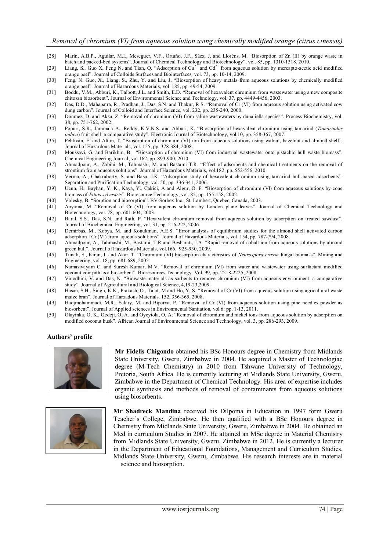- [28] Marín, A.B.P., Aguilar, M.I., Meseguer, V.F., Ortuńo, J.F., Sáez, J. and Lloréns, M. "Biosorption of Zn (II) by orange waste in batch and packed-bed systems". Journal of Chemical Technology and Biotechnology", vol. 85, pp. 1310-1318, 2010.
- [29] Liang, S., Guo X, Feng N. and Tian, Q. "Adsorption of Cu<sup>2+</sup> and Cd<sup>2+</sup> from aqueous solution by mercapto-acetic acid modified orange peel". Journal of Colloids Surfaces and Biointerfaces*,* vol. 73, pp. 10-14, 2009.
- [30] [Feng, N.](http://www.ncbi.nlm.nih.gov/pubmed?term=%22Feng%20N%22%5BAuthor%5D) Guo, X., Liang, S., [Zhu, Y.](http://www.ncbi.nlm.nih.gov/pubmed?term=%22Zhu%20Y%22%5BAuthor%5D) and [Liu, J.](http://www.ncbi.nlm.nih.gov/pubmed?term=%22Liu%20J%22%5BAuthor%5D) "Biosorption of heavy metals from aqueous solutions by chemically modified orange peel". Journal of Hazardous Materials, vol. 185, pp. 49-54, 2009.
- [31] Boddu, V.M., Abburi, K., Talbott, J.L. and Smith, E.D. "Removal of hexavalent chromium from wastewater using a new composite chitosan biosorbent". Journal of Environmental Science and Technology, vol. 37, pp. 4449-4456, 2003.
- [32] Das, D.D., Mahapatra, R., Pradhan, J., Das, S.N. and Thakur, R.S. "Removal of Cr (VI) from aqueous solution using activated cow dung carbon". Journal of Colloid and Interface Science, vol. 232, pp. 235-240, 2000.
- [33] Donmez, D. and Aksu, Z. "Removal of chromium (VI) from saline wastewaters by dunaliella species". Process Biochemistry, vol. 38, pp. 751-762, 2002.
- [34] Popuri, S.R., Jammala A., Reddy, K.V.N.S. and Abburi, K. "Biosorption of hexavalent chromium using tamarind (*Tamarindus indica*) fruit shell: a comparative study"*.* Electronic Journal of Biotechnology, vol.10, pp. 358-367, 2007.
- [35] Pehlivan, E. and Altun, T. "Biosorption of chromium (VI) ion from aqueous solutions using walnut, hazelnut and almond shell". Journal of Hazardous Materials, vol. 155, pp. 378-384, 2008.
- [36] Moussavi, G. and Barikbin, B. "Biosorption of chromium (VI) from industrial wastewater onto pistachio hull waste biomass". Chemical Engineering Journal, vol.162, pp. 893-900, 2010.
- [37] Ahmadpour, A., Zabihi, M., Tahmasbi, M. and Bastami T.R. "Effect of adsorbents and chemical treatments on the removal of strontium from aqueous solutions". Journal of Hazardous Materials, vol.182, pp. 552-556, 2010.
- [38] Verma, A., Chakraborty, S. and Basu, J.K. "Adsorption study of hexavalent chromium using tamarind hull-based adsorbents". Separation and Purification Technology, vol. 50, pp. 336-341, 2006.
- [39] Ucun, H., Bayhan, Y. K., Kaya, Y., Cakici, A and Algur, O. F. "Biosorption of chromium (Vl) from aqueous solutions by cone biomass of *Pituis sylvestris*". Bioresource Technology, vol. 85, pp. 155-158, 2002.
- [40] Volesky, B. "Sorption and biosorption". BV-Sorbex Inc., St. Lambert, Quebec, Canada, 2003.
- [41] Aoyama, M. "Removal of Cr (VI) from aqueous solution by London plane leaves". Journal of Chemical Technology and Biotechnology, vol. 78, pp. 601-604, 2003.
- [42] Baral, S.S., Das, S.N. and Rath, P. "Hexavalent chromium removal from aqueous solution by adsorption on treated sawdust". Journal of Biochemical Engineering, vol. 31, pp. 216-222, 2006.
- [43] Demirbas, M., Kobya, M. and Konukman, A.E.S. "Error analysis of equilibrium studies for the almond shell activated carbon adsorption f Cr (VI) from aqueous solutions". Journal of Hazardous Materials, vol. 154, pp. 787-794, 2008.
- [44] Ahmadpour, A., Tahmasbi, M., Bastami, T.R and Besharati, J.A. "Rapid removal of cobalt ion from aqueous solutions by almond green hull". Journal of Hazardous Materials, vol.166, 925-930, 2009.
- [45] Tunali, S., Kiran, I. and Akar, T. "Chromium (VI) biosorption characteristics of *Neurospora crassa* fungal biomass". Mining and Engineering, vol. 18, pp. 681-689, 2005.
- [46] Namasivayam C. and Suresh Kumar, M.V. "Removal of chromium (VI) from water and wastewater using surfactant modified coconut coir pith as a biosorbent". Bioresources Technology. Vol. 99, pp. 2218-2225, 2008.
- [47] Vinodhini, V. and Das, N. "Biowaste materials as sorbents to remove chromium (VI) from aqueous environment: a comparative study". Journal of Agricultural and Biological Science, 4,19-23,2009.
- [48] Hasan, S.H., Singh, K.K., Prakash, O., Talat, M and Ho, Y, S. "Removal of Cr (VI) from aqueous solution using agricultural waste maize bran". Journal of Harzadous Materials. 152, 356-365, 2008.
- [49] Hadjmohammadi, M.R., Salary, M. and Biparva, P. "Removal of Cr (VI) from aqueous solution using pine needles powder as biosorbent". Journal of Applied sciences in Environmental Sanitation, vol 6: pp. 1-13, 2011.
- [50] Olayinka, O, K., Oedeji, O, A. and Oyeyiola, O, A. "Removal of chromium and nickel ions from aqueous solution by adsorption on modified coconut husk". African Journal of Environmental Science and Technology, vol. 3, pp. 286-293, 2009.

#### **Authors' profile**



**Mr Fidelis Chigondo** obtained his BSc Honours degree in Chemistry from Midlands State University, Gweru, Zimbabwe in 2004. He acquired a Master of Technologiae degree (M-Tech Chemistry) in 2010 from Tshwane University of Technology, Pretoria, South Africa. He is currently lecturing at Midlands State University, Gweru, Zimbabwe in the Department of Chemical Technology. His area of expertise includes organic synthesis and methods of removal of contaminants from aqueous solutions using biosorbents.



**Mr Shadreck Mandina** received his Dilpoma in Education in 1997 form Gweru Teacher's College, Zimbabwe. He then qualified with a BSc Honours degree in Chemistry from Midlands State University, Gweru, Zimbabwe in 2004. He obtained an Med in curriculum Studies in 2007. He attained an MSc degree in Material Chemistry from Midlands State University, Gweru, Zimbabwe in 2012. He is currently a lecturer in the Department of Educational Foundations, Management and Curriculum Studies, Midlands State University, Gweru, Zimbabwe. His research interests are in material science and biosorption.